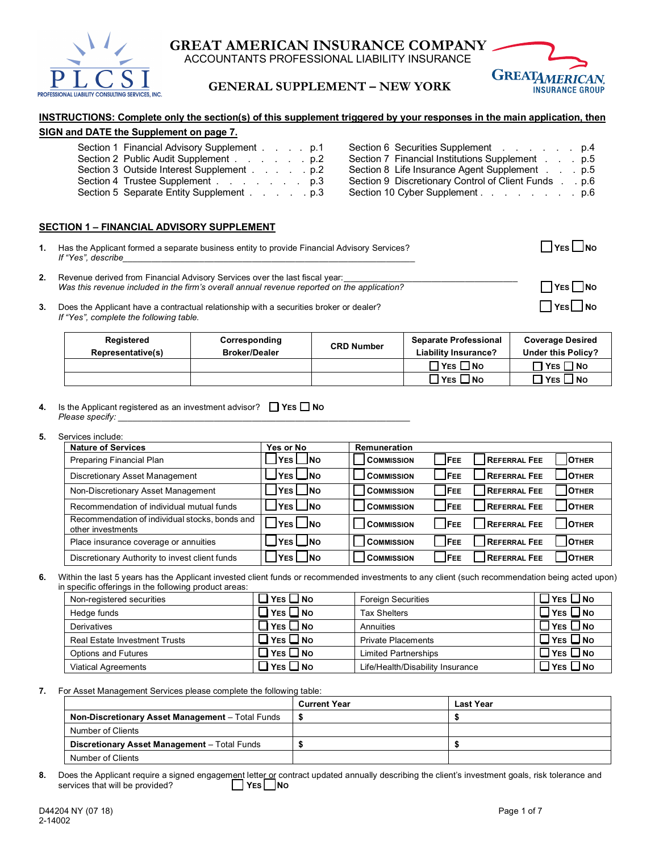

**GREAT AMERICAN INSURANCE COMPANY** ACCOUNTANTS PROFESSIONAL LIABILITY INSURANCE

**GENERAL SUPPLEMENT – NEW YORK**



# **INSTRUCTIONS: Complete only the section(s) of this supplement triggered by your responses in the main application, then**

## **SIGN and DATE the Supplement on page 7.**

| Section 1 Financial Advisory Supplement p.1 | Section 6 Securities Supplement p.4                      |
|---------------------------------------------|----------------------------------------------------------|
| Section 2 Public Audit Supplement p.2       | Section 7 Financial Institutions Supplement<br>. p.5     |
| Section 3 Outside Interest Supplement p.2   | Section 8 Life Insurance Agent Supplement.<br>. p.5      |
| Section 4 Trustee Supplement p.3            | Section 9 Discretionary Control of Client Funds<br>. p.6 |
| Section 5 Separate Entity Supplement p.3    | Section 10 Cyber Supplement p.6                          |

#### **SECTION 1 – FINANCIAL ADVISORY SUPPLEMENT**

|    | Has the Applicant formed a separate business entity to provide Financial Advisory Services?<br>If "Yes", describe                                                          | $YES$ $\Box$ No          |
|----|----------------------------------------------------------------------------------------------------------------------------------------------------------------------------|--------------------------|
| 2. | Revenue derived from Financial Advisory Services over the last fiscal year:<br>Was this revenue included in the firm's overall annual revenue reported on the application? | $\sqcap$ YES $\sqcap$ NO |
|    | Does the Applicant have a contractual relationship with a securities broker or dealer?                                                                                     | $1$ YES $\Box$ NO        |

*If "Yes", complete the following table.*

| Registered<br>Representative(s) | Corresponding<br><b>Broker/Dealer</b> | <b>CRD Number</b> | <b>Separate Professional</b><br><b>Liability Insurance?</b> | <b>Coverage Desired</b><br>Under this Policy? |
|---------------------------------|---------------------------------------|-------------------|-------------------------------------------------------------|-----------------------------------------------|
|                                 |                                       |                   | $\Box$ YES $\Box$ No                                        | $\neg$ YES $\neg$ No                          |
|                                 |                                       |                   | $\Box$ YES $\Box$ NO                                        | <b>∃ Y</b> ES □ NO                            |

**4.** Is the Applicant registered as an investment advisor? □ YES ■ No *Please specify:* 

#### **5.** Services include:

| <b>Nature of Services</b>                                           | Yes or No         | <b>Remuneration</b>                                                     |
|---------------------------------------------------------------------|-------------------|-------------------------------------------------------------------------|
| Preparing Financial Plan                                            | IYES I INO        | <b>REFERRAL FEE</b><br><b>IFEE</b><br><b>COMMISSION</b><br><b>OTHER</b> |
| Discretionary Asset Management                                      | ⊿YES ∟No          | <b>IFEE</b><br><b>REFERRAL FEE</b><br><b>OTHER</b><br><b>COMMISSION</b> |
| Non-Discretionary Asset Management                                  | ∐YES L⊥NO         | <b>IFEE</b><br><b>REFERRAL FEE</b><br><b>OTHER</b><br><b>COMMISSION</b> |
| Recommendation of individual mutual funds                           | ∐YES L⊥NO         | <b>IFEE</b><br><b>REFERRAL FEE</b><br><b>OTHER</b><br><b>COMMISSION</b> |
| Recommendation of individual stocks, bonds and<br>other investments | $JY$ ES $\Box$ No | <b>FEE</b><br><b>REFERRAL FEE</b><br><b>OTHER</b><br><b>COMMISSION</b>  |
| Place insurance coverage or annuities                               | ∐YES ∐NO          | <b>IFEE</b><br><b>REFERRAL FEE</b><br><b>OTHER</b><br><b>COMMISSION</b> |
| Discretionary Authority to invest client funds                      | YES NO            | <b>IFEE</b><br><b>REFERRAL FEE</b><br><b>OTHER</b><br><b>COMMISSION</b> |

**6.** Within the last 5 years has the Applicant invested client funds or recommended investments to any client (such recommendation being acted upon) in specific offerings in the following product areas:

| Non-registered securities            | $\Box$ Yes $\Box$ No                   | <b>Foreign Securities</b>        | $\Box$ YES $\Box$ No |
|--------------------------------------|----------------------------------------|----------------------------------|----------------------|
| Hedge funds                          | $\Box$ Yes $\Box$ No                   | <b>Tax Shelters</b>              | $\Box$ YES $\Box$ No |
| Derivatives                          | $\square$ Yes $\square$ No             | Annuities                        | $\Box$ YES $\Box$ No |
| <b>Real Estate Investment Trusts</b> | $\exists$ Yes $\Box$ No                | <b>Private Placements</b>        | $\Box$ Yes $\Box$ No |
| Options and Futures                  | $\mathsf{Yes} \,\square\, \mathsf{No}$ | <b>Limited Partnerships</b>      | $\Box$ YES $\Box$ No |
| <b>Viatical Agreements</b>           | $Y$ ES $\Box$ No                       | Life/Health/Disability Insurance | $\Box$ Yes $\Box$ No |

**7.** For Asset Management Services please complete the following table:

|                                                  | <b>Current Year</b> | <b>Last Year</b> |
|--------------------------------------------------|---------------------|------------------|
| Non-Discretionary Asset Management - Total Funds |                     |                  |
| Number of Clients                                |                     |                  |
| Discretionary Asset Management - Total Funds     |                     |                  |
| Number of Clients                                |                     |                  |

8. Does the Applicant require a signed engagement letter or contract updated annually describing the client's investment goals, risk tolerance and services that will be provided? **WES** | YES | NO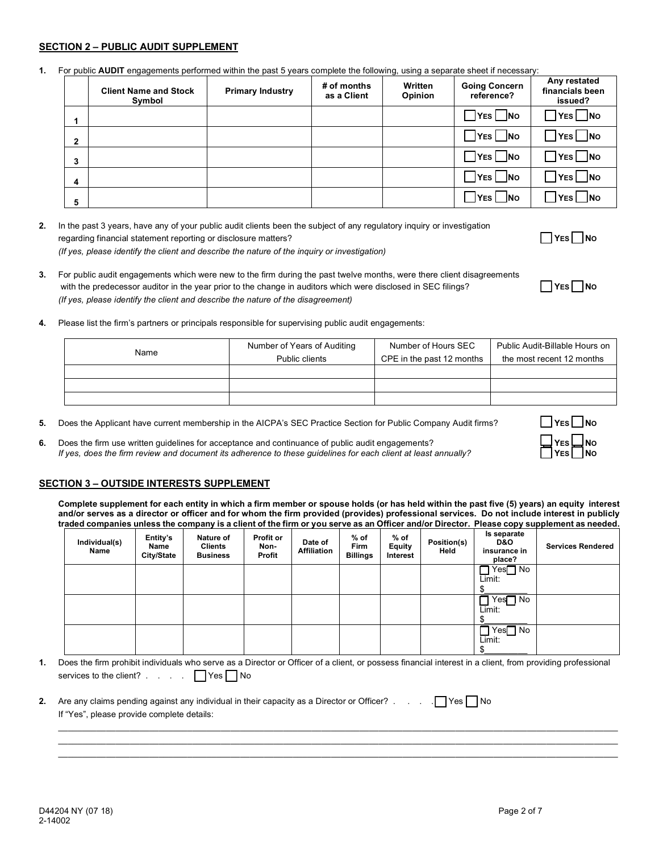#### **SECTION 2 – PUBLIC AUDIT SUPPLEMENT**

**1.** For public **AUDIT** engagements performed within the past 5 years complete the following, using a separate sheet if necessary:

|                | <b>Client Name and Stock</b><br>Symbol | <b>Primary Industry</b> | # of months<br>as a Client | Written<br><b>Opinion</b> | <b>Going Concern</b><br>reference? | Any restated<br>financials been<br>issued? |
|----------------|----------------------------------------|-------------------------|----------------------------|---------------------------|------------------------------------|--------------------------------------------|
|                |                                        |                         |                            |                           | $\exists$ Yes $\Box$ No            | $]$ YES $\Box$ NO                          |
| $\overline{2}$ |                                        |                         |                            |                           | $\exists$ YES $\Box$ NO            | $\exists$ Yes $\Box$ No                    |
| 3              |                                        |                         |                            |                           | $7$ YES $\Box$ No                  | $\mathsf{I}$ Yes $\Box$ No                 |
| $\overline{4}$ |                                        |                         |                            |                           | $\exists$ Yes $\Box$ No            | $]$ YES $\Box$ NO                          |
| 5              |                                        |                         |                            |                           | $\Box$ No<br> YES                  | $\Box$ No<br>YES <sup>I</sup>              |

**2.** In the past 3 years, have any of your public audit clients been the subject of any regulatory inquiry or investigation regarding financial statement reporting or disclosure matters?<br> **YES** NO *(If yes, please identify the client and describe the nature of the inquiry or investigation)*

- **3.** For public audit engagements which were new to the firm during the past twelve months, were there client disagreements with the predecessor auditor in the year prior to the change in auditors which were disclosed in SEC filings? *(If yes, please identify the client and describe the nature of the disagreement)*
	-

**4.** Please list the firm's partners or principals responsible for supervising public audit engagements:

| Name | Number of Years of Auditing | Number of Hours SEC       | Public Audit-Billable Hours on |
|------|-----------------------------|---------------------------|--------------------------------|
|      | Public clients              | CPE in the past 12 months | the most recent 12 months      |
|      |                             |                           |                                |
|      |                             |                           |                                |
|      |                             |                           |                                |

- **5.** Does the Applicant have current membership in the AICPA's SEC Practice Section for Public Company Audit firms? **THES** NO
- **6.** Does the firm use written guidelines for acceptance and continuance of public audit engagements?<br>*If yes, does the firm review and document its adherence to these quidelines for each client at least annually? If yes, does the firm review and document its adherence to these guidelines for each client at least annually?*

#### **SECTION 3 – OUTSIDE INTERESTS SUPPLEMENT**

**Complete supplement for each entity in which a firm member or spouse holds (or has held within the past five (5) years) an equity interest and/or serves as a director or officer and for whom the firm provided (provides) professional services. Do not include interest in publicly traded companies unless the company is a client of the firm or you serve as an Officer and/or Director. Please copy supplement as needed.**

| Individual(s)<br>Name | Entity's<br>Name<br>City/State | Nature of<br><b>Clients</b><br><b>Business</b> | <b>Profit or</b><br>Non-<br>Profit | Date of<br><b>Affiliation</b> | $%$ of<br><b>Firm</b><br><b>Billings</b> | $%$ of<br>Equity<br>Interest | Position(s)<br>Held | Is separate<br>D&O<br>insurance in<br>place? | <b>Services Rendered</b> |
|-----------------------|--------------------------------|------------------------------------------------|------------------------------------|-------------------------------|------------------------------------------|------------------------------|---------------------|----------------------------------------------|--------------------------|
|                       |                                |                                                |                                    |                               |                                          |                              |                     | $Yes$ No<br>Limit:                           |                          |
|                       |                                |                                                |                                    |                               |                                          |                              |                     |                                              |                          |
|                       |                                |                                                |                                    |                               |                                          |                              |                     | Yes∏ No<br>Limit:                            |                          |
|                       |                                |                                                |                                    |                               |                                          |                              |                     |                                              |                          |
|                       |                                |                                                |                                    |                               |                                          |                              |                     | Yes∏ No<br>Limit:                            |                          |
|                       |                                |                                                |                                    |                               |                                          |                              |                     | Φ                                            |                          |

**1.** Does the firm prohibit individuals who serve as a Director or Officer of a client, or possess financial interest in a client, from providing professional services to the client? . . . . . T Yes No

 $\mathcal{L}_\mathcal{L} = \mathcal{L}_\mathcal{L} = \mathcal{L}_\mathcal{L} = \mathcal{L}_\mathcal{L} = \mathcal{L}_\mathcal{L} = \mathcal{L}_\mathcal{L} = \mathcal{L}_\mathcal{L} = \mathcal{L}_\mathcal{L} = \mathcal{L}_\mathcal{L} = \mathcal{L}_\mathcal{L} = \mathcal{L}_\mathcal{L} = \mathcal{L}_\mathcal{L} = \mathcal{L}_\mathcal{L} = \mathcal{L}_\mathcal{L} = \mathcal{L}_\mathcal{L} = \mathcal{L}_\mathcal{L} = \mathcal{L}_\mathcal{L}$  $\mathcal{L}_\mathcal{L} = \mathcal{L}_\mathcal{L} = \mathcal{L}_\mathcal{L} = \mathcal{L}_\mathcal{L} = \mathcal{L}_\mathcal{L} = \mathcal{L}_\mathcal{L} = \mathcal{L}_\mathcal{L} = \mathcal{L}_\mathcal{L} = \mathcal{L}_\mathcal{L} = \mathcal{L}_\mathcal{L} = \mathcal{L}_\mathcal{L} = \mathcal{L}_\mathcal{L} = \mathcal{L}_\mathcal{L} = \mathcal{L}_\mathcal{L} = \mathcal{L}_\mathcal{L} = \mathcal{L}_\mathcal{L} = \mathcal{L}_\mathcal{L}$  $\mathcal{L}_\mathcal{L} = \mathcal{L}_\mathcal{L} = \mathcal{L}_\mathcal{L} = \mathcal{L}_\mathcal{L} = \mathcal{L}_\mathcal{L} = \mathcal{L}_\mathcal{L} = \mathcal{L}_\mathcal{L} = \mathcal{L}_\mathcal{L} = \mathcal{L}_\mathcal{L} = \mathcal{L}_\mathcal{L} = \mathcal{L}_\mathcal{L} = \mathcal{L}_\mathcal{L} = \mathcal{L}_\mathcal{L} = \mathcal{L}_\mathcal{L} = \mathcal{L}_\mathcal{L} = \mathcal{L}_\mathcal{L} = \mathcal{L}_\mathcal{L}$ 

| 2. Are any claims pending against any individual in their capacity as a Director or Officer? $\Box$ Yes     No |  |  |
|----------------------------------------------------------------------------------------------------------------|--|--|
| If "Yes", please provide complete details:                                                                     |  |  |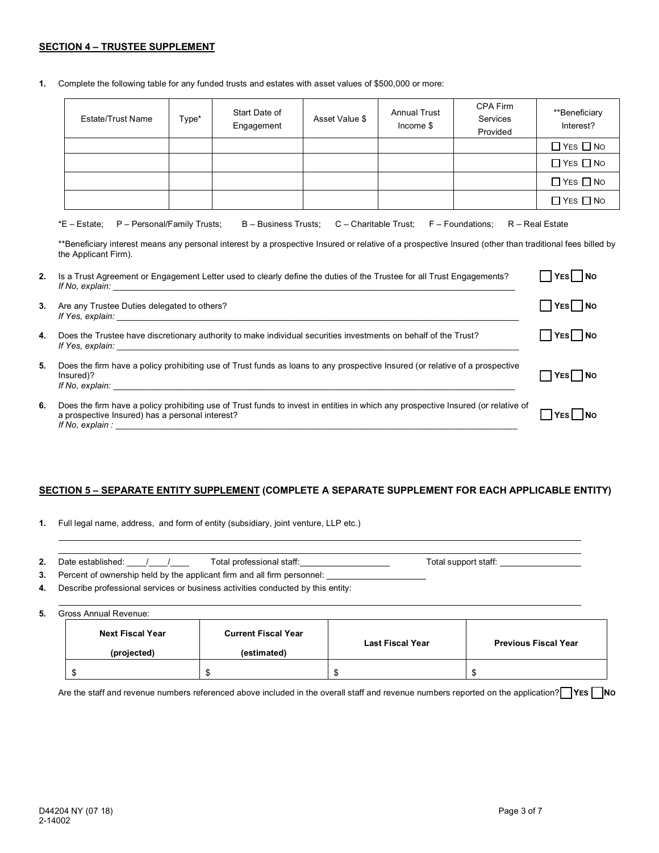#### **SECTION 4 – TRUSTEE SUPPLEMENT**

**1.** Complete the following table for any funded trusts and estates with asset values of \$500,000 or more:

| <b>Estate/Trust Name</b> | Type* | Start Date of<br>Engagement | Asset Value \$ | <b>Annual Trust</b><br>Income \$ | CPA Firm<br>Services<br>Provided | **Beneficiary<br>Interest? |
|--------------------------|-------|-----------------------------|----------------|----------------------------------|----------------------------------|----------------------------|
|                          |       |                             |                |                                  |                                  | $\Box$ YES $\Box$ No       |
|                          |       |                             |                |                                  |                                  | $\Box$ YES $\Box$ No       |
|                          |       |                             |                |                                  |                                  | $\Box$ YES $\Box$ No       |
|                          |       |                             |                |                                  |                                  | $\Box$ YES $\Box$ No       |

|  | *E – Estate: P – Personal/Family Trusts; B – Business Trusts; C – Charitable Trust; F – Foundations; R – Real Estate |  |  |  |  |
|--|----------------------------------------------------------------------------------------------------------------------|--|--|--|--|
|--|----------------------------------------------------------------------------------------------------------------------|--|--|--|--|

\*\*Beneficiary interest means any personal interest by a prospective Insured or relative of a prospective Insured (other than traditional fees billed by the Applicant Firm).

| 2. | Is a Trust Agreement or Engagement Letter used to clearly define the duties of the Trustee for all Trust Engagements?<br>If No, explain:                                                                                                                                                                                                                                    | YES NO                     |
|----|-----------------------------------------------------------------------------------------------------------------------------------------------------------------------------------------------------------------------------------------------------------------------------------------------------------------------------------------------------------------------------|----------------------------|
| 3. | Are any Trustee Duties delegated to others?<br>If Yes, explain: The Second Second Second Second Second Second Second Second Second Second Second Second Second Second Second Second Second Second Second Second Second Second Second Second Second Second Second Second Secon                                                                                               | YES    NO                  |
| 4. | Does the Trustee have discretionary authority to make individual securities investments on behalf of the Trust?<br>If Yes, explain:                                                                                                                                                                                                                                         | $\bigcap$ YES $\bigcap$ No |
| 5. | Does the firm have a policy prohibiting use of Trust funds as loans to any prospective Insured (or relative of a prospective<br>Insured)?<br>If No. explain: The contract of the contract of the contract of the contract of the contract of the contract of the contract of the contract of the contract of the contract of the contract of the contract of the contract o | YES NO                     |
| 6. | Does the firm have a policy prohibiting use of Trust funds to invest in entities in which any prospective Insured (or relative of<br>a prospective Insured) has a personal interest?<br>If No, explain:                                                                                                                                                                     | YESİ İNO                   |

#### **SECTION 5 – SEPARATE ENTITY SUPPLEMENT (COMPLETE A SEPARATE SUPPLEMENT FOR EACH APPLICABLE ENTITY)**

**1.** Full legal name, address, and form of entity (subsidiary, joint venture, LLP etc.)

| $\mathbf{\Omega}$<br>z., | Date established: | Total professional staff: | Total support staff: |
|--------------------------|-------------------|---------------------------|----------------------|
|                          |                   |                           |                      |

- **3.** Percent of ownership held by the applicant firm and all firm personnel:
- **4.** Describe professional services or business activities conducted by this entity:

**5.** Gross Annual Revenue:

| <b>Next Fiscal Year</b><br>(projected) | <b>Current Fiscal Year</b><br>(estimated) | <b>Last Fiscal Year</b> | <b>Previous Fiscal Year</b> |
|----------------------------------------|-------------------------------------------|-------------------------|-----------------------------|
|                                        |                                           |                         |                             |

Are the staff and revenue numbers referenced above included in the overall staff and revenue numbers reported on the application?<sup>1</sup> YES No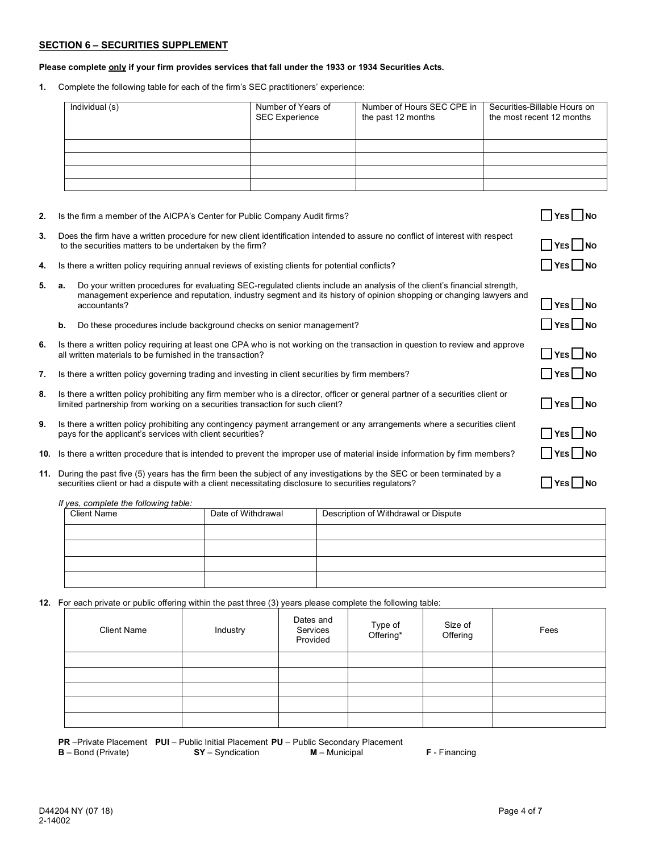#### **SECTION 6 – SECURITIES SUPPLEMENT**

#### **Please complete only if your firm provides services that fall under the 1933 or 1934 Securities Acts.**

**1.** Complete the following table for each of the firm's SEC practitioners' experience:

| Individual (s) | Number of Years of<br><b>SEC Experience</b> | Number of Hours SEC CPE in<br>the past 12 months | Securities-Billable Hours on<br>the most recent 12 months |
|----------------|---------------------------------------------|--------------------------------------------------|-----------------------------------------------------------|
|                |                                             |                                                  |                                                           |
|                |                                             |                                                  |                                                           |
|                |                                             |                                                  |                                                           |
|                |                                             |                                                  |                                                           |

- **2.** Is the firm a member of the AICPA's Center for Public Company Audit firms?
- **3.** Does the firm have a written procedure for new client identification intended to assure no conflict of interest with respect Does the limit have a written procedule for hew chem identification interided to assure no conflict of interest with respect<br>to the securities matters to be undertaken by the firm?
- **4.** Is there a written policy requiring annual reviews of existing clients for potential conflicts? **YES** NO

| 5. a. |    | Do your written procedures for evaluating SEC-regulated clients include an analysis of the client's financial strength,<br>management experience and reputation, industry segment and its history of opinion shopping or changing lawyers and<br>accountants? | $\Box$ Yes $\Box$ No                |
|-------|----|---------------------------------------------------------------------------------------------------------------------------------------------------------------------------------------------------------------------------------------------------------------|-------------------------------------|
|       | b. | Do these procedures include background checks on senior management?                                                                                                                                                                                           | $\Box$ YES $\Box$ NO                |
| 6.    |    | Is there a written policy requiring at least one CPA who is not working on the transaction in question to review and approve<br>all written materials to be furnished in the transaction?                                                                     | $\Box$ YES $\Box$ NO                |
| 7.    |    | Is there a written policy governing trading and investing in client securities by firm members?                                                                                                                                                               | $\Box$ YES $\Box$ NO                |
| 8.    |    | Is there a written policy prohibiting any firm member who is a director, officer or general partner of a securities client or<br>limited partnership from working on a securities transaction for such client?                                                | $\Box$ YES $\Box$ NO                |
| 9.    |    | Is there a written policy prohibiting any contingency payment arrangement or any arrangements where a securities client<br>pays for the applicant's services with client securities?                                                                          | $\Box$ YES $\Box$ NO                |
| 10.   |    | Is there a written procedure that is intended to prevent the improper use of material inside information by firm members?                                                                                                                                     | $\Box$ YES $\Box$ NO                |
| 11.   |    | During the past five (5) years has the firm been the subject of any investigations by the SEC or been terminated by a<br>securities client or had a dispute with a client necessitating disclosure to securities regulators?                                  | $\overline{\phantom{a}}$ No<br> YES |

*If yes, complete the following table:*

| <i>n</i> you, complete the following table.<br><b>Client Name</b> | Date of Withdrawal | Description of Withdrawal or Dispute |
|-------------------------------------------------------------------|--------------------|--------------------------------------|
|                                                                   |                    |                                      |
|                                                                   |                    |                                      |
|                                                                   |                    |                                      |
|                                                                   |                    |                                      |

**12.** For each private or public offering within the past three (3) years please complete the following table:

| <b>Client Name</b> | Industry | Dates and<br>Services<br>Provided | Type of<br>Offering* | Size of<br>Offering | Fees |
|--------------------|----------|-----------------------------------|----------------------|---------------------|------|
|                    |          |                                   |                      |                     |      |
|                    |          |                                   |                      |                     |      |
|                    |          |                                   |                      |                     |      |
|                    |          |                                   |                      |                     |      |
|                    |          |                                   |                      |                     |      |

**PR** –Private Placement **PUI** – Public Initial Placement **PU** – Public Secondary Placement **B** – Bond (Private) **SY** – Syndication **M** – Municipal **F** - Financing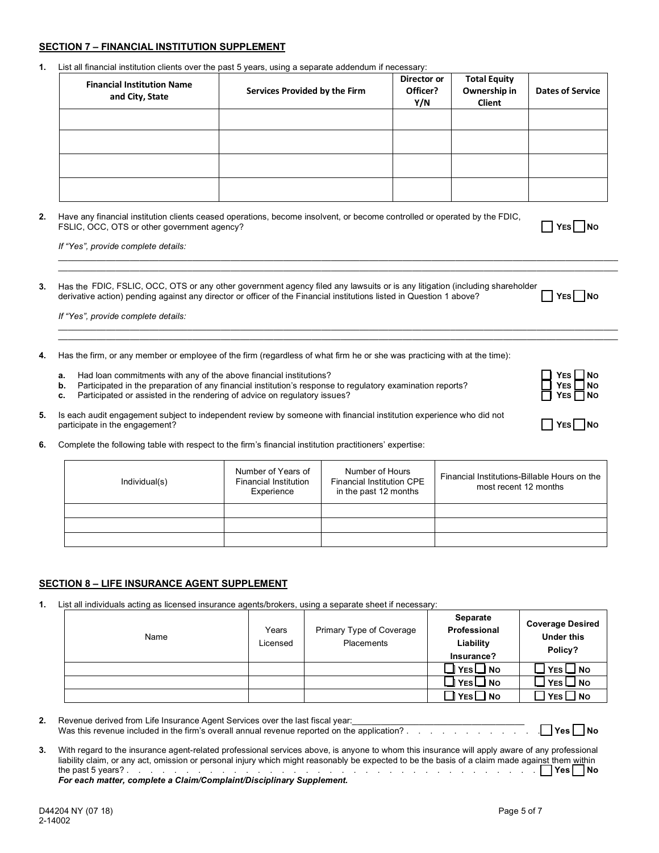#### **SECTION 7 – FINANCIAL INSTITUTION SUPPLEMENT**

**1.** List all financial institution clients over the past 5 years, using a separate addendum if necessary:

| <b>Financial Institution Name</b><br>and City, State | Services Provided by the Firm | Director or<br>Officer?<br>Y/N | <b>Total Equity</b><br>Ownership in<br>Client | <b>Dates of Service</b> |
|------------------------------------------------------|-------------------------------|--------------------------------|-----------------------------------------------|-------------------------|
|                                                      |                               |                                |                                               |                         |
|                                                      |                               |                                |                                               |                         |
|                                                      |                               |                                |                                               |                         |
|                                                      |                               |                                |                                               |                         |

\_\_\_\_\_\_\_\_\_\_\_\_\_\_\_\_\_\_\_\_\_\_\_\_\_\_\_\_\_\_\_\_\_\_\_\_\_\_\_\_\_\_\_\_\_\_\_\_\_\_\_\_\_\_\_\_\_\_\_\_\_\_\_\_\_\_\_\_\_\_\_\_\_\_\_\_\_\_\_\_\_\_\_\_\_\_\_\_\_\_\_\_\_\_\_\_\_\_\_\_\_\_\_\_\_\_\_\_\_\_\_\_\_\_\_\_\_ \_\_\_\_\_\_\_\_\_\_\_\_\_\_\_\_\_\_\_\_\_\_\_\_\_\_\_\_\_\_\_\_\_\_\_\_\_\_\_\_\_\_\_\_\_\_\_\_\_\_\_\_\_\_\_\_\_\_\_\_\_\_\_\_\_\_\_\_\_\_\_\_\_\_\_\_\_\_\_\_\_\_\_\_\_\_\_\_\_\_\_\_\_\_\_\_\_\_\_\_\_\_\_\_\_\_\_\_\_\_\_\_\_\_\_\_\_

 $\mathcal{L}_\mathcal{L} = \mathcal{L}_\mathcal{L} = \mathcal{L}_\mathcal{L} = \mathcal{L}_\mathcal{L} = \mathcal{L}_\mathcal{L} = \mathcal{L}_\mathcal{L} = \mathcal{L}_\mathcal{L} = \mathcal{L}_\mathcal{L} = \mathcal{L}_\mathcal{L} = \mathcal{L}_\mathcal{L} = \mathcal{L}_\mathcal{L} = \mathcal{L}_\mathcal{L} = \mathcal{L}_\mathcal{L} = \mathcal{L}_\mathcal{L} = \mathcal{L}_\mathcal{L} = \mathcal{L}_\mathcal{L} = \mathcal{L}_\mathcal{L}$  $\mathcal{L}_\mathcal{L} = \mathcal{L}_\mathcal{L} = \mathcal{L}_\mathcal{L} = \mathcal{L}_\mathcal{L} = \mathcal{L}_\mathcal{L} = \mathcal{L}_\mathcal{L} = \mathcal{L}_\mathcal{L} = \mathcal{L}_\mathcal{L} = \mathcal{L}_\mathcal{L} = \mathcal{L}_\mathcal{L} = \mathcal{L}_\mathcal{L} = \mathcal{L}_\mathcal{L} = \mathcal{L}_\mathcal{L} = \mathcal{L}_\mathcal{L} = \mathcal{L}_\mathcal{L} = \mathcal{L}_\mathcal{L} = \mathcal{L}_\mathcal{L}$ 

**2.** Have any financial institution clients ceased operations, become insolvent, or become controlled or operated by the FDIC, FSLIC, OCC, OTS or other government agency?

*If "Yes", provide complete details:*

**3.** Has theFDIC, FSLIC, OCC, OTS or any other government agency filed any lawsuits or is any litigation (including shareholder derivative action) pending against any director or officer of the Financial institutions listed in Question 1 above?

*If "Yes", provide complete details:*

- **4.** Has the firm, or any member or employee of the firm (regardless of what firm he or she was practicing with at the time):
	-
	- **a.** Had loan commitments with any of the above financial institutions?<br> **b.** Participated in the preparation of any financial institution's response to regulatory examination reports? **b.** Participated in the preparation of any financial institution's response to regulatory examination reports?
	- **c.** Participated or assisted in the rendering of advice on regulatory issues?<br> **C.** Participated or assisted in the rendering of advice on regulatory issues?
- **5.** Is each audit engagement subject to independent review by someone with financial institution experience who did not participate in the engagement? **The engagement of the engagement of the engagement of the engagement of the engagement of the engagement of the engagement of the engagement of the engagement of the engagement of the engage**
- **6.** Complete the following table with respect to the firm's financial institution practitioners' expertise:

| Individual(s) | Number of Years of<br>Financial Institution<br>Experience | Number of Hours<br><b>Financial Institution CPE</b><br>in the past 12 months | Financial Institutions-Billable Hours on the<br>most recent 12 months |
|---------------|-----------------------------------------------------------|------------------------------------------------------------------------------|-----------------------------------------------------------------------|
|               |                                                           |                                                                              |                                                                       |
|               |                                                           |                                                                              |                                                                       |
|               |                                                           |                                                                              |                                                                       |

### **SECTION 8 – LIFE INSURANCE AGENT SUPPLEMENT**

**1.** List all individuals acting as licensed insurance agents/brokers, using a separate sheet if necessary:

| Name | Years<br>Licensed | Primary Type of Coverage<br>Placements | Separate<br>Professional<br>Liability<br>Insurance? | <b>Coverage Desired</b><br><b>Under this</b><br>Policy? |
|------|-------------------|----------------------------------------|-----------------------------------------------------|---------------------------------------------------------|
|      |                   |                                        | $Yes \Box No$                                       | $\mathbf{\perp}$ Yes $\mathbf{\sqcup}$ No               |
|      |                   |                                        | $Yes \Box No$                                       | $\square$ Yes $\square$ No                              |
|      |                   |                                        | $Yes \Box No$                                       | $\square$ YES $\square$ No                              |

| 2. | Revenue derived from Life Insurance Agent Services over the last fiscal year:<br>Was this revenue included in the firm's overall annual revenue reported on the application?                                                                                                                                          |
|----|-----------------------------------------------------------------------------------------------------------------------------------------------------------------------------------------------------------------------------------------------------------------------------------------------------------------------|
| 3. | With regard to the insurance agent-related professional services above, is anyone to whom this insurance will apply aware of any professional<br>liability claim, or any act, omission or personal injury which might reasonably be expected to be the basis of a claim made against them within<br>the past 5 years? |

the past 5 years? . . . . . . . . . . . . . . . . . . . . . . . . . . . . . . . . . . . **Yes No** *For each matter, complete a Claim/Complaint/Disciplinary Supplement.*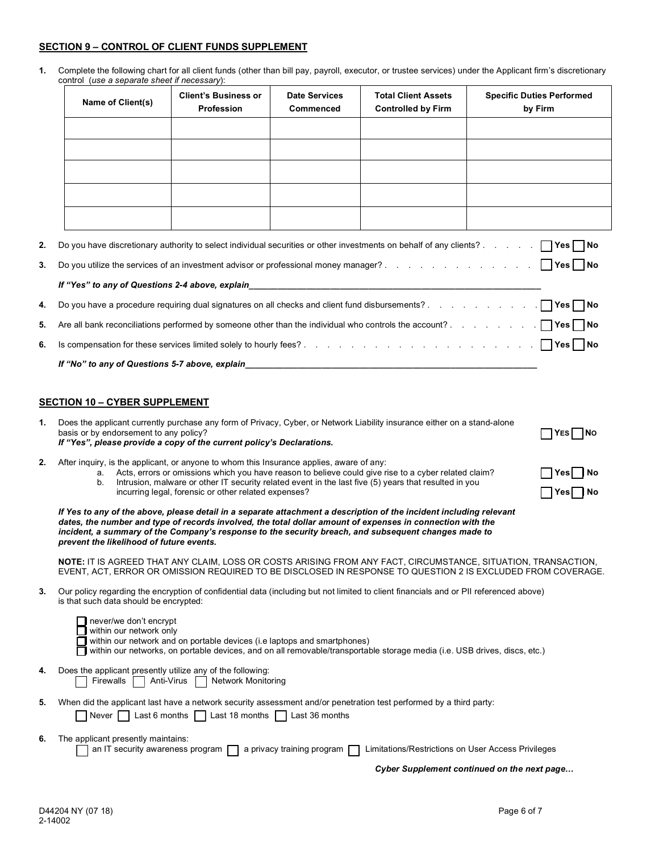#### **SECTION 9 – CONTROL OF CLIENT FUNDS SUPPLEMENT**

**1.** Complete the following chart for all client funds (other than bill pay, payroll, executor, or trustee services) under the Applicant firm's discretionary

|    | control (use a separate sheet if necessary):                                                                                                                                                                                                                                                                                                                                          |                                                      |                                          |                                                                                                                                                                                                               |                                                                                                                                                                                                                              |  |  |  |  |
|----|---------------------------------------------------------------------------------------------------------------------------------------------------------------------------------------------------------------------------------------------------------------------------------------------------------------------------------------------------------------------------------------|------------------------------------------------------|------------------------------------------|---------------------------------------------------------------------------------------------------------------------------------------------------------------------------------------------------------------|------------------------------------------------------------------------------------------------------------------------------------------------------------------------------------------------------------------------------|--|--|--|--|
|    | Name of Client(s)                                                                                                                                                                                                                                                                                                                                                                     | <b>Client's Business or</b><br><b>Profession</b>     | <b>Date Services</b><br><b>Commenced</b> | <b>Total Client Assets</b><br><b>Controlled by Firm</b>                                                                                                                                                       | <b>Specific Duties Performed</b><br>by Firm                                                                                                                                                                                  |  |  |  |  |
|    |                                                                                                                                                                                                                                                                                                                                                                                       |                                                      |                                          |                                                                                                                                                                                                               |                                                                                                                                                                                                                              |  |  |  |  |
|    |                                                                                                                                                                                                                                                                                                                                                                                       |                                                      |                                          |                                                                                                                                                                                                               |                                                                                                                                                                                                                              |  |  |  |  |
|    |                                                                                                                                                                                                                                                                                                                                                                                       |                                                      |                                          |                                                                                                                                                                                                               |                                                                                                                                                                                                                              |  |  |  |  |
|    |                                                                                                                                                                                                                                                                                                                                                                                       |                                                      |                                          |                                                                                                                                                                                                               |                                                                                                                                                                                                                              |  |  |  |  |
|    |                                                                                                                                                                                                                                                                                                                                                                                       |                                                      |                                          |                                                                                                                                                                                                               |                                                                                                                                                                                                                              |  |  |  |  |
|    |                                                                                                                                                                                                                                                                                                                                                                                       |                                                      |                                          |                                                                                                                                                                                                               |                                                                                                                                                                                                                              |  |  |  |  |
| 2. |                                                                                                                                                                                                                                                                                                                                                                                       |                                                      |                                          |                                                                                                                                                                                                               |                                                                                                                                                                                                                              |  |  |  |  |
| 3. |                                                                                                                                                                                                                                                                                                                                                                                       |                                                      |                                          |                                                                                                                                                                                                               |                                                                                                                                                                                                                              |  |  |  |  |
|    |                                                                                                                                                                                                                                                                                                                                                                                       |                                                      |                                          |                                                                                                                                                                                                               |                                                                                                                                                                                                                              |  |  |  |  |
| 4. |                                                                                                                                                                                                                                                                                                                                                                                       |                                                      |                                          |                                                                                                                                                                                                               |                                                                                                                                                                                                                              |  |  |  |  |
| 5. |                                                                                                                                                                                                                                                                                                                                                                                       |                                                      |                                          |                                                                                                                                                                                                               | Are all bank reconciliations performed by someone other than the individual who controls the account? TYes                                                                                                                   |  |  |  |  |
| 6. |                                                                                                                                                                                                                                                                                                                                                                                       |                                                      |                                          |                                                                                                                                                                                                               | Is compensation for these services limited solely to hourly fees?<br>and the context of these services limited solely to hourly fees?<br>and the context of the context of the context of the SND No.                        |  |  |  |  |
|    | If "No" to any of Questions 5-7 above, explain                                                                                                                                                                                                                                                                                                                                        |                                                      |                                          |                                                                                                                                                                                                               |                                                                                                                                                                                                                              |  |  |  |  |
|    |                                                                                                                                                                                                                                                                                                                                                                                       |                                                      |                                          |                                                                                                                                                                                                               |                                                                                                                                                                                                                              |  |  |  |  |
|    | <b>SECTION 10 - CYBER SUPPLEMENT</b>                                                                                                                                                                                                                                                                                                                                                  |                                                      |                                          |                                                                                                                                                                                                               |                                                                                                                                                                                                                              |  |  |  |  |
| 1. | Does the applicant currently purchase any form of Privacy, Cyber, or Network Liability insurance either on a stand-alone<br>basis or by endorsement to any policy?<br>If "Yes", please provide a copy of the current policy's Declarations.                                                                                                                                           |                                                      |                                          |                                                                                                                                                                                                               | YES <br>1No                                                                                                                                                                                                                  |  |  |  |  |
| 2. | After inquiry, is the applicant, or anyone to whom this Insurance applies, aware of any:<br>а.<br>b.                                                                                                                                                                                                                                                                                  | incurring legal, forensic or other related expenses? |                                          | Acts, errors or omissions which you have reason to believe could give rise to a cyber related claim?<br>Intrusion, malware or other IT security related event in the last five (5) years that resulted in you | Yes   No<br> Yes   No                                                                                                                                                                                                        |  |  |  |  |
|    | If Yes to any of the above, please detail in a separate attachment a description of the incident including relevant<br>dates, the number and type of records involved, the total dollar amount of expenses in connection with the<br>incident, a summary of the Company's response to the security breach, and subsequent changes made to<br>prevent the likelihood of future events. |                                                      |                                          |                                                                                                                                                                                                               |                                                                                                                                                                                                                              |  |  |  |  |
|    |                                                                                                                                                                                                                                                                                                                                                                                       |                                                      |                                          |                                                                                                                                                                                                               | NOTE: IT IS AGREED THAT ANY CLAIM, LOSS OR COSTS ARISING FROM ANY FACT, CIRCUMSTANCE, SITUATION, TRANSACTION,<br>EVENT. ACT. ERROR OR OMISSION REQUIRED TO BE DISCLOSED IN RESPONSE TO QUESTION 2 IS EXCLUDED FROM COVERAGE. |  |  |  |  |
| 3. | Our policy regarding the encryption of confidential data (including but not limited to client financials and or PII referenced above)<br>is that such data should be encrypted:                                                                                                                                                                                                       |                                                      |                                          |                                                                                                                                                                                                               |                                                                                                                                                                                                                              |  |  |  |  |
|    | never/we don't encrypt<br>within our network only<br>within our network and on portable devices (i.e laptops and smartphones)<br>within our networks, on portable devices, and on all removable/transportable storage media (i.e. USB drives, discs, etc.)                                                                                                                            |                                                      |                                          |                                                                                                                                                                                                               |                                                                                                                                                                                                                              |  |  |  |  |
| 4. | Does the applicant presently utilize any of the following:<br>Firewalls                                                                                                                                                                                                                                                                                                               | Anti-Virus<br><b>Network Monitoring</b>              |                                          |                                                                                                                                                                                                               |                                                                                                                                                                                                                              |  |  |  |  |
| 5. | When did the applicant last have a network security assessment and/or penetration test performed by a third party:<br>Never                                                                                                                                                                                                                                                           | Last 6 months   Last 18 months   Last 36 months      |                                          |                                                                                                                                                                                                               |                                                                                                                                                                                                                              |  |  |  |  |
| 6. | The applicant presently maintains:<br>an IT security awareness program                                                                                                                                                                                                                                                                                                                |                                                      | a privacy training program $\Box$        | Limitations/Restrictions on User Access Privileges                                                                                                                                                            |                                                                                                                                                                                                                              |  |  |  |  |

 *Cyber Supplement continued on the next page…*